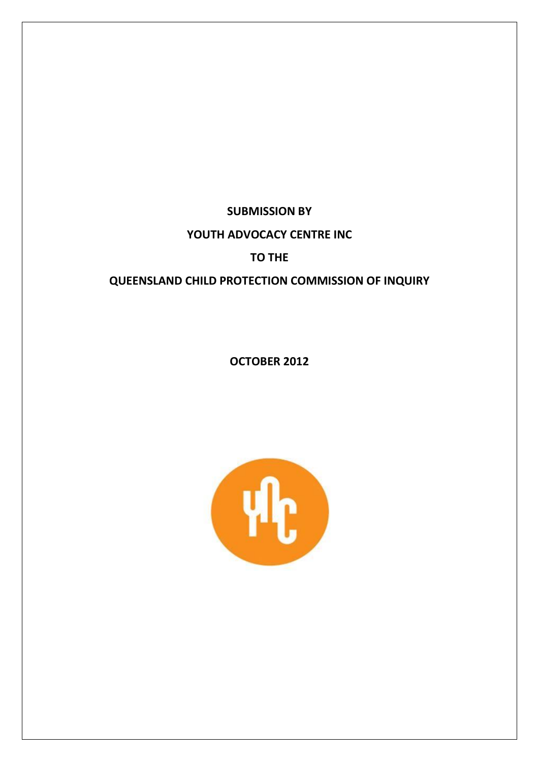**SUBMISSION BY**

# **YOUTH ADVOCACY CENTRE INC**

# **TO THE**

# **QUEENSLAND CHILD PROTECTION COMMISSION OF INQUIRY**

**OCTOBER 2012**

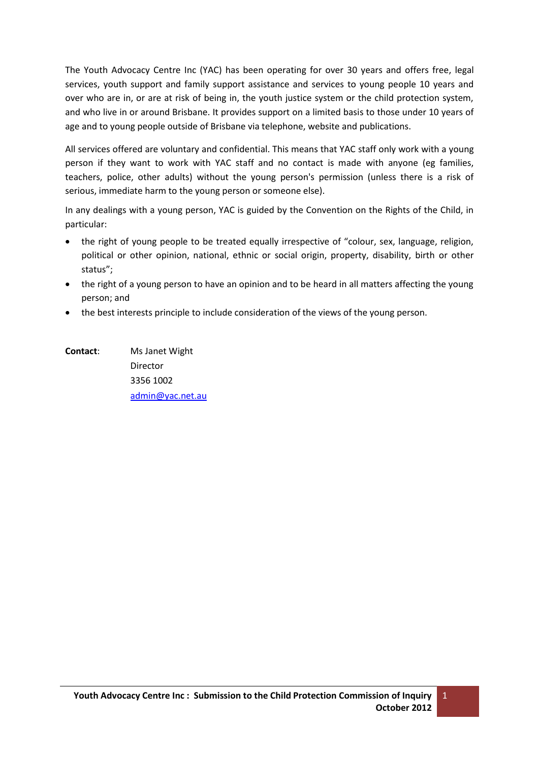The Youth Advocacy Centre Inc (YAC) has been operating for over 30 years and offers free, legal services, youth support and family support assistance and services to young people 10 years and over who are in, or are at risk of being in, the youth justice system or the child protection system, and who live in or around Brisbane. It provides support on a limited basis to those under 10 years of age and to young people outside of Brisbane via telephone, website and publications.

All services offered are voluntary and confidential. This means that YAC staff only work with a young person if they want to work with YAC staff and no contact is made with anyone (eg families, teachers, police, other adults) without the young person's permission (unless there is a risk of serious, immediate harm to the young person or someone else).

In any dealings with a young person, YAC is guided by the Convention on the Rights of the Child, in particular:

- the right of young people to be treated equally irrespective of "colour, sex, language, religion, political or other opinion, national, ethnic or social origin, property, disability, birth or other status";
- the right of a young person to have an opinion and to be heard in all matters affecting the young person; and
- the best interests principle to include consideration of the views of the young person.

**Contact**: Ms Janet Wight Director 3356 1002 [admin@yac.net.au](mailto:admin@yac.net.au)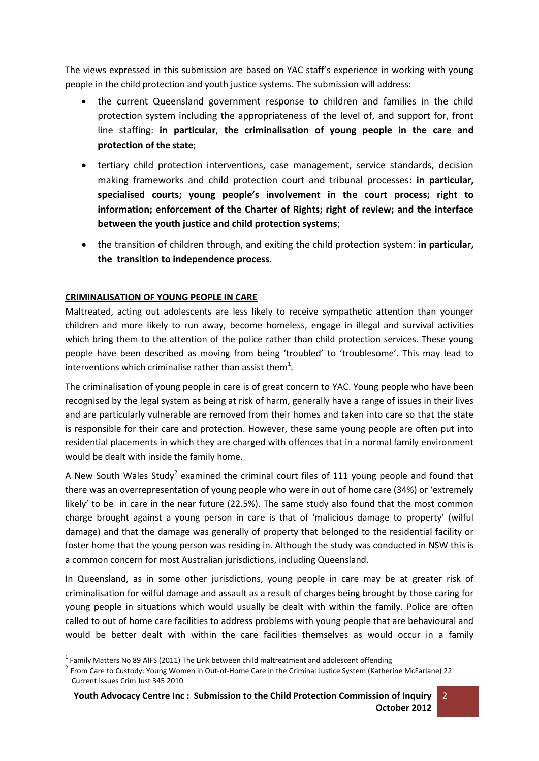The views expressed in this submission are based on YAC staff's experience in working with young people in the child protection and youth justice systems. The submission will address:

- the current Queensland government response to children and families in the child protection system including the appropriateness of the level of, and support for, front line staffing: **in particular**, **the criminalisation of young people in the care and protection of the state**;
- tertiary child protection interventions, case management, service standards, decision making frameworks and child protection court and tribunal processes**: in particular, specialised courts; young people's involvement in the court process; right to information; enforcement of the Charter of Rights; right of review; and the interface between the youth justice and child protection systems**;
- the transition of children through, and exiting the child protection system: **in particular, the transition to independence process**.

# **CRIMINALISATION OF YOUNG PEOPLE IN CARE**

Maltreated, acting out adolescents are less likely to receive sympathetic attention than younger children and more likely to run away, become homeless, engage in illegal and survival activities which bring them to the attention of the police rather than child protection services. These young people have been described as moving from being 'troubled' to 'troublesome'. This may lead to interventions which criminalise rather than assist them<sup>1</sup>.

The criminalisation of young people in care is of great concern to YAC. Young people who have been recognised by the legal system as being at risk of harm, generally have a range of issues in their lives and are particularly vulnerable are removed from their homes and taken into care so that the state is responsible for their care and protection. However, these same young people are often put into residential placements in which they are charged with offences that in a normal family environment would be dealt with inside the family home.

A New South Wales Study<sup>2</sup> examined the criminal court files of 111 young people and found that there was an overrepresentation of young people who were in out of home care (34%) or 'extremely likely' to be in care in the near future (22.5%). The same study also found that the most common charge brought against a young person in care is that of 'malicious damage to property' (wilful damage) and that the damage was generally of property that belonged to the residential facility or foster home that the young person was residing in. Although the study was conducted in NSW this is a common concern for most Australian jurisdictions, including Queensland.

In Queensland, as in some other jurisdictions, young people in care may be at greater risk of criminalisation for wilful damage and assault as a result of charges being brought by those caring for young people in situations which would usually be dealt with within the family. Police are often called to out of home care facilities to address problems with young people that are behavioural and would be better dealt with within the care facilities themselves as would occur in a family

 1 Family Matters No 89 AIFS (2011) The Link between child maltreatment and adolescent offending

 $^2$  From Care to Custody: Young Women in Out-of-Home Care in the Criminal Justice System (Katherine McFarlane) 22 Current Issues Crim Just 345 2010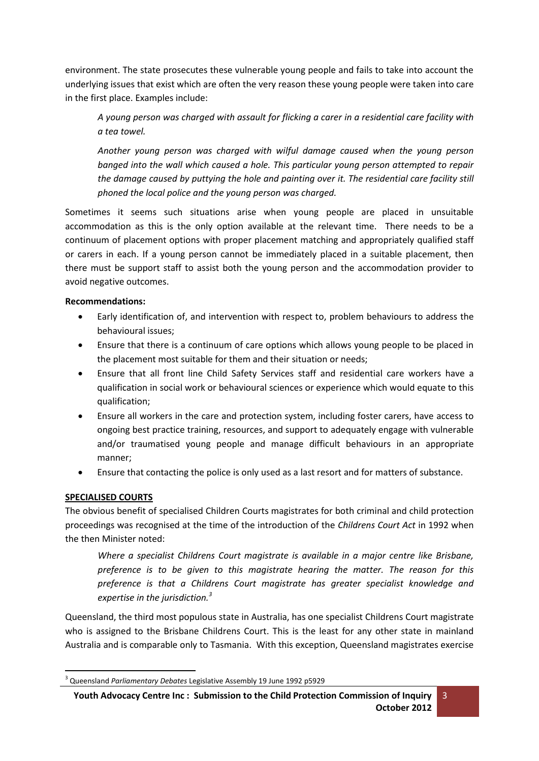environment. The state prosecutes these vulnerable young people and fails to take into account the underlying issues that exist which are often the very reason these young people were taken into care in the first place. Examples include:

*A young person was charged with assault for flicking a carer in a residential care facility with a tea towel.* 

*Another young person was charged with wilful damage caused when the young person banged into the wall which caused a hole. This particular young person attempted to repair the damage caused by puttying the hole and painting over it. The residential care facility still phoned the local police and the young person was charged.* 

Sometimes it seems such situations arise when young people are placed in unsuitable accommodation as this is the only option available at the relevant time. There needs to be a continuum of placement options with proper placement matching and appropriately qualified staff or carers in each. If a young person cannot be immediately placed in a suitable placement, then there must be support staff to assist both the young person and the accommodation provider to avoid negative outcomes.

### **Recommendations:**

- Early identification of, and intervention with respect to, problem behaviours to address the behavioural issues;
- Ensure that there is a continuum of care options which allows young people to be placed in the placement most suitable for them and their situation or needs;
- Ensure that all front line Child Safety Services staff and residential care workers have a qualification in social work or behavioural sciences or experience which would equate to this qualification;
- Ensure all workers in the care and protection system, including foster carers, have access to ongoing best practice training, resources, and support to adequately engage with vulnerable and/or traumatised young people and manage difficult behaviours in an appropriate manner;
- Ensure that contacting the police is only used as a last resort and for matters of substance.

# **SPECIALISED COURTS**

 $\overline{a}$ 

The obvious benefit of specialised Children Courts magistrates for both criminal and child protection proceedings was recognised at the time of the introduction of the *Childrens Court Act* in 1992 when the then Minister noted:

*Where a specialist Childrens Court magistrate is available in a major centre like Brisbane, preference is to be given to this magistrate hearing the matter. The reason for this preference is that a Childrens Court magistrate has greater specialist knowledge and expertise in the jurisdiction.<sup>3</sup>*

Queensland, the third most populous state in Australia, has one specialist Childrens Court magistrate who is assigned to the Brisbane Childrens Court. This is the least for any other state in mainland Australia and is comparable only to Tasmania. With this exception, Queensland magistrates exercise

<sup>3</sup> Queensland *Parliamentary Debates* Legislative Assembly 19 June 1992 p5929

**Youth Advocacy Centre Inc : Submission to the Child Protection Commission of Inquiry October 2012**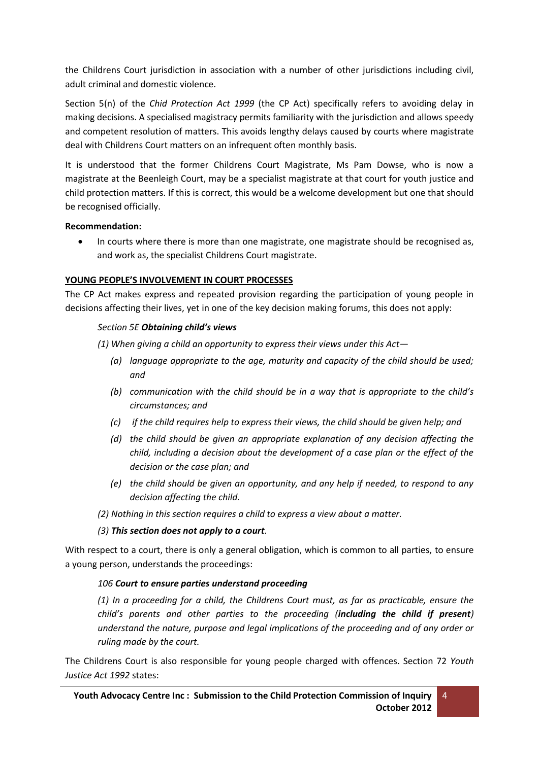the Childrens Court jurisdiction in association with a number of other jurisdictions including civil, adult criminal and domestic violence.

Section 5(n) of the *Chid Protection Act 1999* (the CP Act) specifically refers to avoiding delay in making decisions. A specialised magistracy permits familiarity with the jurisdiction and allows speedy and competent resolution of matters. This avoids lengthy delays caused by courts where magistrate deal with Childrens Court matters on an infrequent often monthly basis.

It is understood that the former Childrens Court Magistrate, Ms Pam Dowse, who is now a magistrate at the Beenleigh Court, may be a specialist magistrate at that court for youth justice and child protection matters. If this is correct, this would be a welcome development but one that should be recognised officially.

### **Recommendation:**

 In courts where there is more than one magistrate, one magistrate should be recognised as, and work as, the specialist Childrens Court magistrate.

## **YOUNG PEOPLE'S INVOLVEMENT IN COURT PROCESSES**

The CP Act makes express and repeated provision regarding the participation of young people in decisions affecting their lives, yet in one of the key decision making forums, this does not apply:

## *Section 5E Obtaining child's views*

*(1) When giving a child an opportunity to express their views under this Act—*

- *(a) language appropriate to the age, maturity and capacity of the child should be used; and*
- *(b) communication with the child should be in a way that is appropriate to the child's circumstances; and*
- *(c) if the child requires help to express their views, the child should be given help; and*
- *(d) the child should be given an appropriate explanation of any decision affecting the child, including a decision about the development of a case plan or the effect of the decision or the case plan; and*
- *(e) the child should be given an opportunity, and any help if needed, to respond to any decision affecting the child.*
- *(2) Nothing in this section requires a child to express a view about a matter.*

# *(3) This section does not apply to a court.*

With respect to a court, there is only a general obligation, which is common to all parties, to ensure a young person, understands the proceedings:

### *106 Court to ensure parties understand proceeding*

*(1) In a proceeding for a child, the Childrens Court must, as far as practicable, ensure the child's parents and other parties to the proceeding (including the child if present) understand the nature, purpose and legal implications of the proceeding and of any order or ruling made by the court.*

The Childrens Court is also responsible for young people charged with offences. Section 72 *Youth Justice Act 1992* states: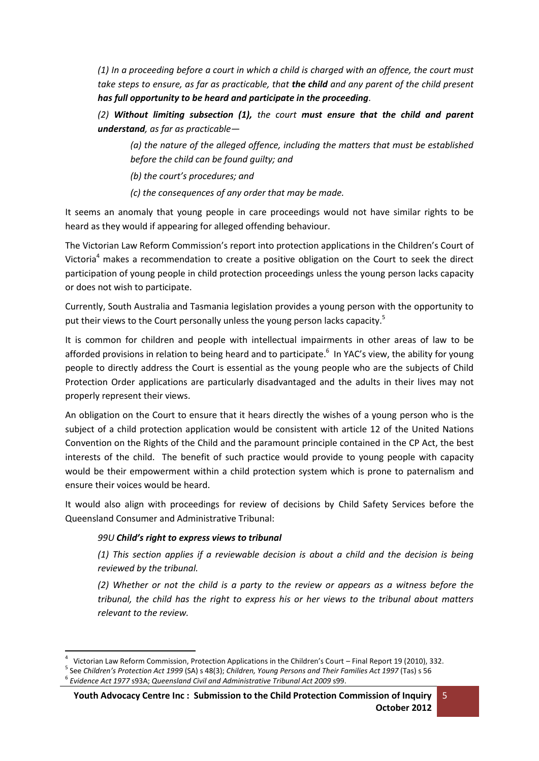*(1) In a proceeding before a court in which a child is charged with an offence, the court must take steps to ensure, as far as practicable, that the child and any parent of the child present has full opportunity to be heard and participate in the proceeding.*

*(2) Without limiting subsection (1), the court must ensure that the child and parent understand, as far as practicable—*

*(a) the nature of the alleged offence, including the matters that must be established before the child can be found guilty; and*

*(b) the court's procedures; and*

*(c) the consequences of any order that may be made.*

It seems an anomaly that young people in care proceedings would not have similar rights to be heard as they would if appearing for alleged offending behaviour.

The Victorian Law Reform Commission's report into protection applications in the Children's Court of Victoria<sup>4</sup> makes a recommendation to create a positive obligation on the Court to seek the direct participation of young people in child protection proceedings unless the young person lacks capacity or does not wish to participate.

Currently, South Australia and Tasmania legislation provides a young person with the opportunity to put their views to the Court personally unless the young person lacks capacity.<sup>5</sup>

It is common for children and people with intellectual impairments in other areas of law to be afforded provisions in relation to being heard and to participate.<sup>6</sup> In YAC's view, the ability for young people to directly address the Court is essential as the young people who are the subjects of Child Protection Order applications are particularly disadvantaged and the adults in their lives may not properly represent their views.

An obligation on the Court to ensure that it hears directly the wishes of a young person who is the subject of a child protection application would be consistent with article 12 of the United Nations Convention on the Rights of the Child and the paramount principle contained in the CP Act, the best interests of the child. The benefit of such practice would provide to young people with capacity would be their empowerment within a child protection system which is prone to paternalism and ensure their voices would be heard.

It would also align with proceedings for review of decisions by Child Safety Services before the Queensland Consumer and Administrative Tribunal:

# *99U Child's right to express views to tribunal*

*(1) This section applies if a reviewable decision is about a child and the decision is being reviewed by the tribunal.*

*(2) Whether or not the child is a party to the review or appears as a witness before the tribunal, the child has the right to express his or her views to the tribunal about matters relevant to the review.*

**<sup>.</sup>** 4 Victorian Law Reform Commission, Protection Applications in the Children's Court – Final Report 19 (2010), 332.

<sup>5</sup> See *Children's Protection Act 1999* (SA) s 48(3); *Children, Young Persons and Their Families Act 1997* (Tas) s 56 6 *Evidence Act 1977* s93A; *Queensland Civil and Administrative Tribunal Act 2009* s99.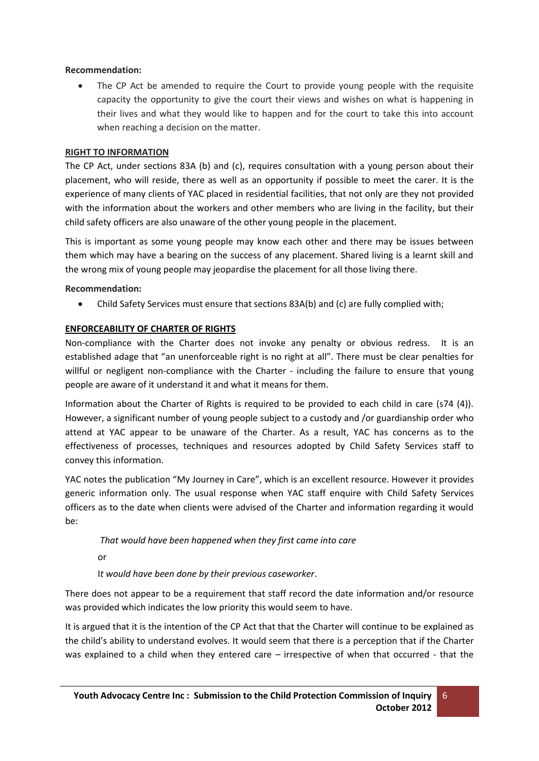## **Recommendation:**

 The CP Act be amended to require the Court to provide young people with the requisite capacity the opportunity to give the court their views and wishes on what is happening in their lives and what they would like to happen and for the court to take this into account when reaching a decision on the matter.

## **RIGHT TO INFORMATION**

The CP Act, under sections 83A (b) and (c), requires consultation with a young person about their placement, who will reside, there as well as an opportunity if possible to meet the carer. It is the experience of many clients of YAC placed in residential facilities, that not only are they not provided with the information about the workers and other members who are living in the facility, but their child safety officers are also unaware of the other young people in the placement.

This is important as some young people may know each other and there may be issues between them which may have a bearing on the success of any placement. Shared living is a learnt skill and the wrong mix of young people may jeopardise the placement for all those living there.

### **Recommendation:**

Child Safety Services must ensure that sections 83A(b) and (c) are fully complied with;

## **ENFORCEABILITY OF CHARTER OF RIGHTS**

Non-compliance with the Charter does not invoke any penalty or obvious redress. It is an established adage that "an unenforceable right is no right at all". There must be clear penalties for willful or negligent non-compliance with the Charter - including the failure to ensure that young people are aware of it understand it and what it means for them.

Information about the Charter of Rights is required to be provided to each child in care (s74 (4)). However, a significant number of young people subject to a custody and /or guardianship order who attend at YAC appear to be unaware of the Charter. As a result, YAC has concerns as to the effectiveness of processes, techniques and resources adopted by Child Safety Services staff to convey this information.

YAC notes the publication "My Journey in Care", which is an excellent resource. However it provides generic information only. The usual response when YAC staff enquire with Child Safety Services officers as to the date when clients were advised of the Charter and information regarding it would be:

### *That would have been happened when they first came into care*

or

I*t would have been done by their previous caseworker*.

There does not appear to be a requirement that staff record the date information and/or resource was provided which indicates the low priority this would seem to have.

It is argued that it is the intention of the CP Act that that the Charter will continue to be explained as the child's ability to understand evolves. It would seem that there is a perception that if the Charter was explained to a child when they entered care – irrespective of when that occurred - that the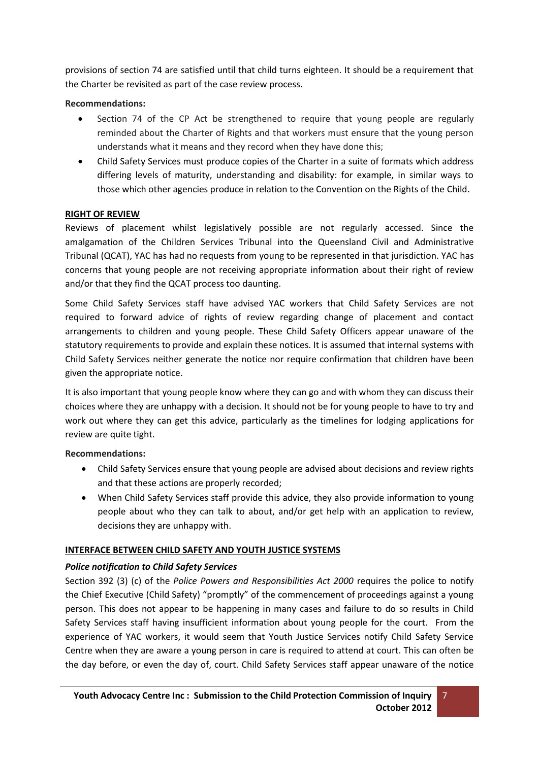provisions of section 74 are satisfied until that child turns eighteen. It should be a requirement that the Charter be revisited as part of the case review process.

## **Recommendations:**

- Section 74 of the CP Act be strengthened to require that young people are regularly reminded about the Charter of Rights and that workers must ensure that the young person understands what it means and they record when they have done this;
- Child Safety Services must produce copies of the Charter in a suite of formats which address differing levels of maturity, understanding and disability: for example, in similar ways to those which other agencies produce in relation to the Convention on the Rights of the Child.

## **RIGHT OF REVIEW**

Reviews of placement whilst legislatively possible are not regularly accessed. Since the amalgamation of the Children Services Tribunal into the Queensland Civil and Administrative Tribunal (QCAT), YAC has had no requests from young to be represented in that jurisdiction. YAC has concerns that young people are not receiving appropriate information about their right of review and/or that they find the QCAT process too daunting.

Some Child Safety Services staff have advised YAC workers that Child Safety Services are not required to forward advice of rights of review regarding change of placement and contact arrangements to children and young people. These Child Safety Officers appear unaware of the statutory requirements to provide and explain these notices. It is assumed that internal systems with Child Safety Services neither generate the notice nor require confirmation that children have been given the appropriate notice.

It is also important that young people know where they can go and with whom they can discuss their choices where they are unhappy with a decision. It should not be for young people to have to try and work out where they can get this advice, particularly as the timelines for lodging applications for review are quite tight.

### **Recommendations:**

- Child Safety Services ensure that young people are advised about decisions and review rights and that these actions are properly recorded;
- When Child Safety Services staff provide this advice, they also provide information to young people about who they can talk to about, and/or get help with an application to review, decisions they are unhappy with.

# **INTERFACE BETWEEN CHILD SAFETY AND YOUTH JUSTICE SYSTEMS**

# *Police notification to Child Safety Services*

Section 392 (3) (c) of the *Police Powers and Responsibilities Act 2000* requires the police to notify the Chief Executive (Child Safety) "promptly" of the commencement of proceedings against a young person. This does not appear to be happening in many cases and failure to do so results in Child Safety Services staff having insufficient information about young people for the court. From the experience of YAC workers, it would seem that Youth Justice Services notify Child Safety Service Centre when they are aware a young person in care is required to attend at court. This can often be the day before, or even the day of, court. Child Safety Services staff appear unaware of the notice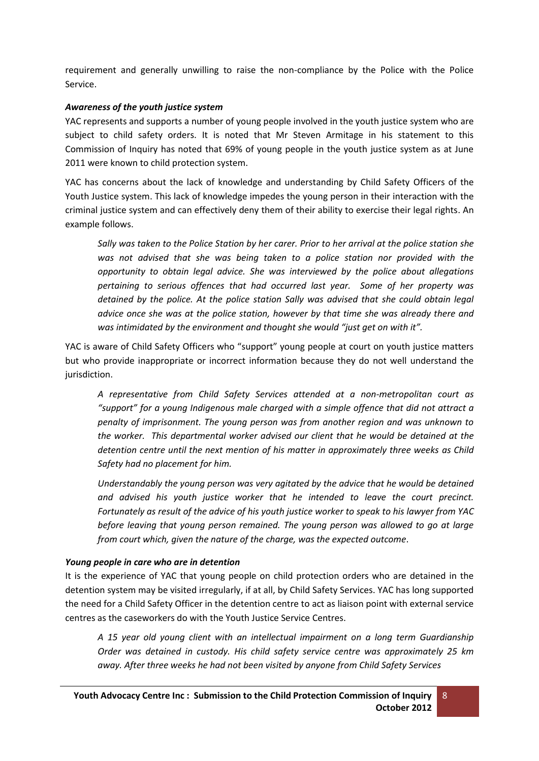requirement and generally unwilling to raise the non-compliance by the Police with the Police Service.

## *Awareness of the youth justice system*

YAC represents and supports a number of young people involved in the youth justice system who are subject to child safety orders. It is noted that Mr Steven Armitage in his statement to this Commission of Inquiry has noted that 69% of young people in the youth justice system as at June 2011 were known to child protection system.

YAC has concerns about the lack of knowledge and understanding by Child Safety Officers of the Youth Justice system. This lack of knowledge impedes the young person in their interaction with the criminal justice system and can effectively deny them of their ability to exercise their legal rights. An example follows.

*Sally was taken to the Police Station by her carer. Prior to her arrival at the police station she was not advised that she was being taken to a police station nor provided with the opportunity to obtain legal advice. She was interviewed by the police about allegations pertaining to serious offences that had occurred last year. Some of her property was detained by the police. At the police station Sally was advised that she could obtain legal advice once she was at the police station, however by that time she was already there and was intimidated by the environment and thought she would "just get on with it".*

YAC is aware of Child Safety Officers who "support" young people at court on youth justice matters but who provide inappropriate or incorrect information because they do not well understand the jurisdiction.

*A representative from Child Safety Services attended at a non-metropolitan court as "support" for a young Indigenous male charged with a simple offence that did not attract a penalty of imprisonment. The young person was from another region and was unknown to the worker. This departmental worker advised our client that he would be detained at the detention centre until the next mention of his matter in approximately three weeks as Child Safety had no placement for him.*

*Understandably the young person was very agitated by the advice that he would be detained and advised his youth justice worker that he intended to leave the court precinct. Fortunately as result of the advice of his youth justice worker to speak to his lawyer from YAC before leaving that young person remained. The young person was allowed to go at large from court which, given the nature of the charge, was the expected outcome*.

### *Young people in care who are in detention*

It is the experience of YAC that young people on child protection orders who are detained in the detention system may be visited irregularly, if at all, by Child Safety Services. YAC has long supported the need for a Child Safety Officer in the detention centre to act as liaison point with external service centres as the caseworkers do with the Youth Justice Service Centres.

*A 15 year old young client with an intellectual impairment on a long term Guardianship Order was detained in custody. His child safety service centre was approximately 25 km away. After three weeks he had not been visited by anyone from Child Safety Services*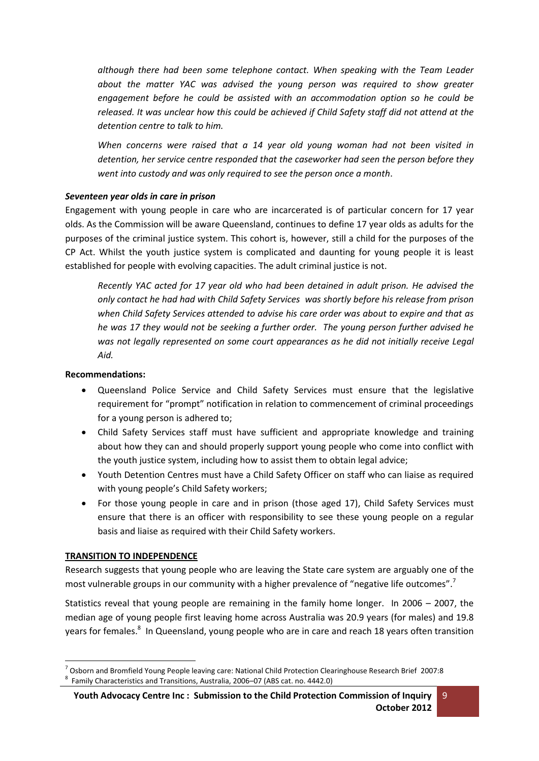*although there had been some telephone contact. When speaking with the Team Leader*  about the matter YAC was advised the young person was required to show greater *engagement before he could be assisted with an accommodation option so he could be released. It was unclear how this could be achieved if Child Safety staff did not attend at the detention centre to talk to him.* 

*When concerns were raised that a 14 year old young woman had not been visited in detention, her service centre responded that the caseworker had seen the person before they went into custody and was only required to see the person once a month*.

### *Seventeen year olds in care in prison*

Engagement with young people in care who are incarcerated is of particular concern for 17 year olds. As the Commission will be aware Queensland, continues to define 17 year olds as adults for the purposes of the criminal justice system. This cohort is, however, still a child for the purposes of the CP Act. Whilst the youth justice system is complicated and daunting for young people it is least established for people with evolving capacities. The adult criminal justice is not.

*Recently YAC acted for 17 year old who had been detained in adult prison. He advised the only contact he had had with Child Safety Services was shortly before his release from prison when Child Safety Services attended to advise his care order was about to expire and that as he was 17 they would not be seeking a further order. The young person further advised he was not legally represented on some court appearances as he did not initially receive Legal Aid.*

## **Recommendations:**

- Queensland Police Service and Child Safety Services must ensure that the legislative requirement for "prompt" notification in relation to commencement of criminal proceedings for a young person is adhered to;
- Child Safety Services staff must have sufficient and appropriate knowledge and training about how they can and should properly support young people who come into conflict with the youth justice system, including how to assist them to obtain legal advice;
- Youth Detention Centres must have a Child Safety Officer on staff who can liaise as required with young people's Child Safety workers;
- For those young people in care and in prison (those aged 17), Child Safety Services must ensure that there is an officer with responsibility to see these young people on a regular basis and liaise as required with their Child Safety workers.

### **TRANSITION TO INDEPENDENCE**

 $\overline{a}$ 

Research suggests that young people who are leaving the State care system are arguably one of the most vulnerable groups in our community with a higher prevalence of "negative life outcomes".

Statistics reveal that young people are remaining in the family home longer. In 2006 – 2007, the median age of young people first leaving home across Australia was 20.9 years (for males) and 19.8 years for females.<sup>8</sup> In Queensland, young people who are in care and reach 18 years often transition

 $^7$  Osborn and Bromfield Young People leaving care: National Child Protection Clearinghouse Research Brief 2007:8 8 [Family Characteristics and Transitions, Australia, 2006](http://abs.gov.au/AUSSTATS/abs@.nsf/ProductsbyCatalogue/E6A9286119FA0A85CA25699000255C89?OpenDocument)–07 (ABS cat. no. 4442.0)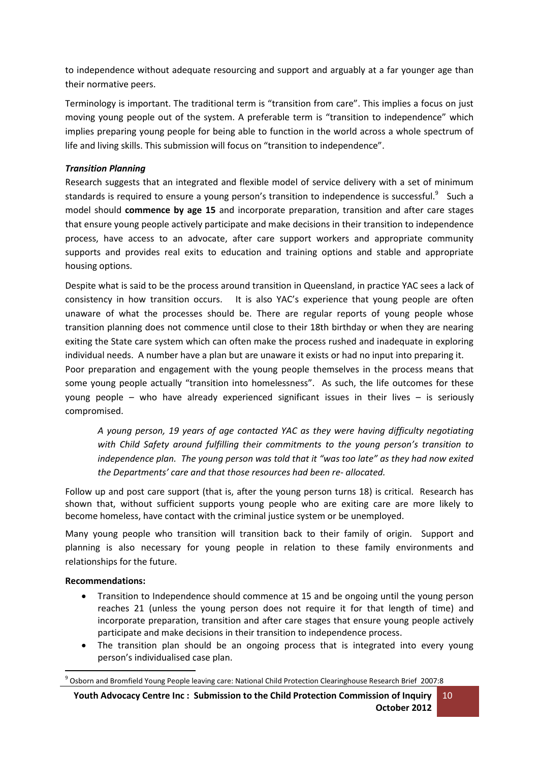to independence without adequate resourcing and support and arguably at a far younger age than their normative peers.

Terminology is important. The traditional term is "transition from care". This implies a focus on just moving young people out of the system. A preferable term is "transition to independence" which implies preparing young people for being able to function in the world across a whole spectrum of life and living skills. This submission will focus on "transition to independence".

## *Transition Planning*

Research suggests that an integrated and flexible model of service delivery with a set of minimum standards is required to ensure a young person's transition to independence is successful.<sup>9</sup> Such a model should **commence by age 15** and incorporate preparation, transition and after care stages that ensure young people actively participate and make decisions in their transition to independence process, have access to an advocate, after care support workers and appropriate community supports and provides real exits to education and training options and stable and appropriate housing options.

Despite what is said to be the process around transition in Queensland, in practice YAC sees a lack of consistency in how transition occurs. It is also YAC's experience that young people are often unaware of what the processes should be. There are regular reports of young people whose transition planning does not commence until close to their 18th birthday or when they are nearing exiting the State care system which can often make the process rushed and inadequate in exploring individual needs. A number have a plan but are unaware it exists or had no input into preparing it.

Poor preparation and engagement with the young people themselves in the process means that some young people actually "transition into homelessness". As such, the life outcomes for these young people – who have already experienced significant issues in their lives – is seriously compromised.

*A young person, 19 years of age contacted YAC as they were having difficulty negotiating with Child Safety around fulfilling their commitments to the young person's transition to independence plan. The young person was told that it "was too late" as they had now exited the Departments' care and that those resources had been re- allocated.* 

Follow up and post care support (that is, after the young person turns 18) is critical. Research has shown that, without sufficient supports young people who are exiting care are more likely to become homeless, have contact with the criminal justice system or be unemployed.

Many young people who transition will transition back to their family of origin. Support and planning is also necessary for young people in relation to these family environments and relationships for the future.

### **Recommendations:**

 $\overline{a}$ 

- Transition to Independence should commence at 15 and be ongoing until the young person reaches 21 (unless the young person does not require it for that length of time) and incorporate preparation, transition and after care stages that ensure young people actively participate and make decisions in their transition to independence process.
- The transition plan should be an ongoing process that is integrated into every young person's individualised case plan.

**Youth Advocacy Centre Inc : Submission to the Child Protection Commission of Inquiry October 2012** 10

<sup>9</sup> Osborn and Bromfield Young People leaving care: National Child Protection Clearinghouse Research Brief 2007:8